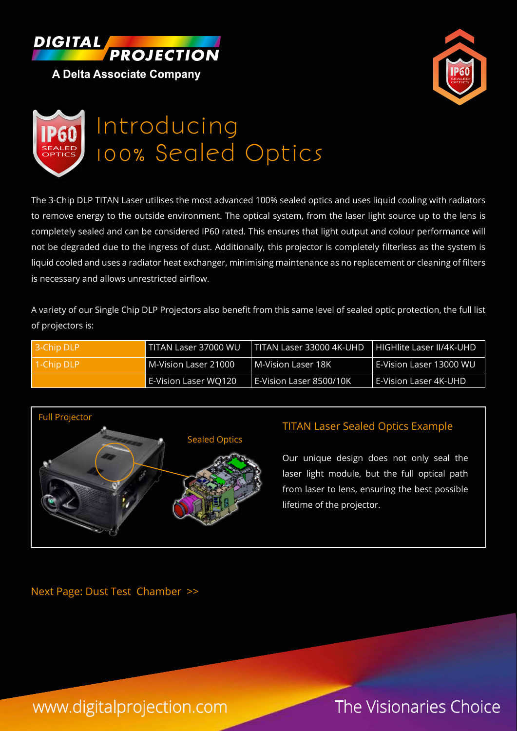





The 3-Chip DLP TITAN Laser utilises the most advanced 100% sealed optics and uses liquid cooling with radiators to remove energy to the outside environment. The optical system, from the laser light source up to the lens is completely sealed and can be considered IP60 rated. This ensures that light output and colour performance will not be degraded due to the ingress of dust. Additionally, this projector is completely filterless as the system is liquid cooled and uses a radiator heat exchanger, minimising maintenance as no replacement or cleaning of filters is necessary and allows unrestricted airflow.

A variety of our Single Chip DLP Projectors also benefit from this same level of sealed optic protection, the full list of projectors is:

| 13-Chip DLP | <b>TITAN Laser 37000 WU</b> | TITAN Laser 33000 4K-UHD | HIGHlite Laser II/4K-UHD  |
|-------------|-----------------------------|--------------------------|---------------------------|
| 1-Chip DLP  | M-Vision Laser 21000        | M-Vision Laser 18K       | l E-Vision Laser 13000 WU |
|             | E-Vision Laser WQ120        | E-Vision Laser 8500/10K  | l E-Vision Laser 4K-UHD   |



# TITAN Laser Sealed Optics Example

Our unique design does not only seal the laser light module, but the full optical path from laser to lens, ensuring the best possible lifetime of the projector.

Next Page: Dust Test Chamber >>

www.digitalprojection.com The Visionaries Choice